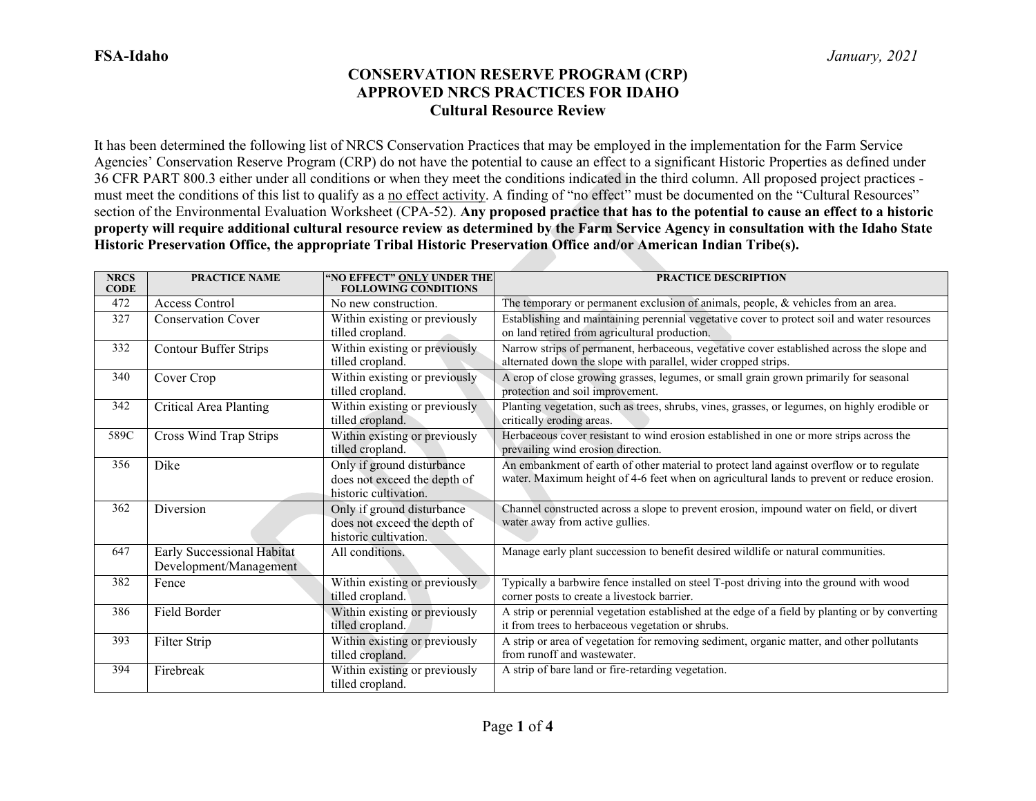It has been determined the following list of NRCS Conservation Practices that may be employed in the implementation for the Farm Service Agencies' Conservation Reserve Program (CRP) do not have the potential to cause an effect to a significant Historic Properties as defined under 36 CFR PART 800.3 either under all conditions or when they meet the conditions indicated in the third column. All proposed project practices must meet the conditions of this list to qualify as a no effect activity. A finding of "no effect" must be documented on the "Cultural Resources" section of the Environmental Evaluation Worksheet (CPA-52). **Any proposed practice that has to the potential to cause an effect to a historic property will require additional cultural resource review as determined by the Farm Service Agency in consultation with the Idaho State Historic Preservation Office, the appropriate Tribal Historic Preservation Office and/or American Indian Tribe(s).**

| <b>NRCS</b><br><b>CODE</b> | <b>PRACTICE NAME</b>                                 | "NO EFFECT" ONLY UNDER THE<br><b>FOLLOWING CONDITIONS</b>                           | <b>PRACTICE DESCRIPTION</b>                                                                                                                                                            |
|----------------------------|------------------------------------------------------|-------------------------------------------------------------------------------------|----------------------------------------------------------------------------------------------------------------------------------------------------------------------------------------|
| 472                        | Access Control                                       | No new construction.                                                                | The temporary or permanent exclusion of animals, people, & vehicles from an area.                                                                                                      |
| 327                        | <b>Conservation Cover</b>                            | Within existing or previously<br>tilled cropland.                                   | Establishing and maintaining perennial vegetative cover to protect soil and water resources<br>on land retired from agricultural production.                                           |
| 332                        | <b>Contour Buffer Strips</b>                         | Within existing or previously<br>tilled cropland.                                   | Narrow strips of permanent, herbaceous, vegetative cover established across the slope and<br>alternated down the slope with parallel, wider cropped strips.                            |
| 340                        | Cover Crop                                           | Within existing or previously<br>tilled cropland.                                   | A crop of close growing grasses, legumes, or small grain grown primarily for seasonal<br>protection and soil improvement.                                                              |
| 342                        | Critical Area Planting                               | Within existing or previously<br>tilled cropland.                                   | Planting vegetation, such as trees, shrubs, vines, grasses, or legumes, on highly erodible or<br>critically eroding areas.                                                             |
| 589C                       | Cross Wind Trap Strips                               | Within existing or previously<br>tilled cropland.                                   | Herbaceous cover resistant to wind erosion established in one or more strips across the<br>prevailing wind erosion direction.                                                          |
| 356                        | Dike                                                 | Only if ground disturbance<br>does not exceed the depth of<br>historic cultivation. | An embankment of earth of other material to protect land against overflow or to regulate<br>water. Maximum height of 4-6 feet when on agricultural lands to prevent or reduce erosion. |
| 362                        | Diversion                                            | Only if ground disturbance<br>does not exceed the depth of<br>historic cultivation. | Channel constructed across a slope to prevent erosion, impound water on field, or divert<br>water away from active gullies.                                                            |
| 647                        | Early Successional Habitat<br>Development/Management | All conditions.                                                                     | Manage early plant succession to benefit desired wildlife or natural communities.                                                                                                      |
| 382                        | Fence                                                | Within existing or previously<br>tilled cropland.                                   | Typically a barbwire fence installed on steel T-post driving into the ground with wood<br>corner posts to create a livestock barrier.                                                  |
| 386                        | Field Border                                         | Within existing or previously<br>tilled cropland.                                   | A strip or perennial vegetation established at the edge of a field by planting or by converting<br>it from trees to herbaceous vegetation or shrubs.                                   |
| 393                        | Filter Strip                                         | Within existing or previously<br>tilled cropland.                                   | A strip or area of vegetation for removing sediment, organic matter, and other pollutants<br>from runoff and wastewater.                                                               |
| 394                        | Firebreak                                            | Within existing or previously<br>tilled cropland.                                   | A strip of bare land or fire-retarding vegetation.                                                                                                                                     |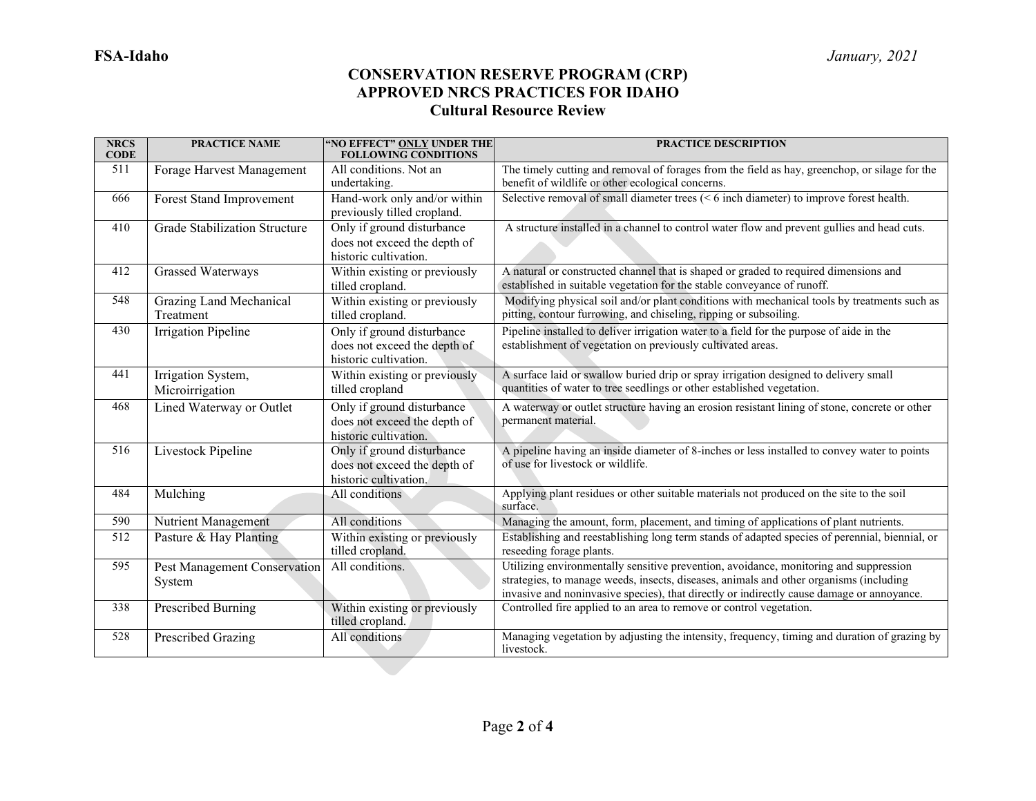| <b>NRCS</b><br><b>CODE</b> | <b>PRACTICE NAME</b>                        | "NO EFFECT" ONLY UNDER THE<br><b>FOLLOWING CONDITIONS</b>                           | <b>PRACTICE DESCRIPTION</b>                                                                                                                                                                                                                                                  |
|----------------------------|---------------------------------------------|-------------------------------------------------------------------------------------|------------------------------------------------------------------------------------------------------------------------------------------------------------------------------------------------------------------------------------------------------------------------------|
| 511                        | Forage Harvest Management                   | All conditions. Not an<br>undertaking.                                              | The timely cutting and removal of forages from the field as hay, greenchop, or silage for the<br>benefit of wildlife or other ecological concerns.                                                                                                                           |
| 666                        | Forest Stand Improvement                    | Hand-work only and/or within<br>previously tilled cropland.                         | Selective removal of small diameter trees $(< 6$ inch diameter) to improve forest health.                                                                                                                                                                                    |
| 410                        | <b>Grade Stabilization Structure</b>        | Only if ground disturbance<br>does not exceed the depth of<br>historic cultivation. | A structure installed in a channel to control water flow and prevent gullies and head cuts.                                                                                                                                                                                  |
| 412                        | <b>Grassed Waterways</b>                    | Within existing or previously<br>tilled cropland.                                   | A natural or constructed channel that is shaped or graded to required dimensions and<br>established in suitable vegetation for the stable conveyance of runoff.                                                                                                              |
| 548                        | <b>Grazing Land Mechanical</b><br>Treatment | Within existing or previously<br>tilled cropland.                                   | Modifying physical soil and/or plant conditions with mechanical tools by treatments such as<br>pitting, contour furrowing, and chiseling, ripping or subsoiling.                                                                                                             |
| 430                        | Irrigation Pipeline                         | Only if ground disturbance<br>does not exceed the depth of<br>historic cultivation. | Pipeline installed to deliver irrigation water to a field for the purpose of aide in the<br>establishment of vegetation on previously cultivated areas.                                                                                                                      |
| 441                        | Irrigation System,<br>Microirrigation       | Within existing or previously<br>tilled cropland                                    | A surface laid or swallow buried drip or spray irrigation designed to delivery small<br>quantities of water to tree seedlings or other established vegetation.                                                                                                               |
| 468                        | <b>Lined Waterway or Outlet</b>             | Only if ground disturbance<br>does not exceed the depth of<br>historic cultivation. | A waterway or outlet structure having an erosion resistant lining of stone, concrete or other<br>permanent material.                                                                                                                                                         |
| 516                        | Livestock Pipeline                          | Only if ground disturbance<br>does not exceed the depth of<br>historic cultivation. | A pipeline having an inside diameter of 8-inches or less installed to convey water to points<br>of use for livestock or wildlife.                                                                                                                                            |
| 484                        | Mulching                                    | All conditions                                                                      | Applying plant residues or other suitable materials not produced on the site to the soil<br>surface.                                                                                                                                                                         |
| 590                        | Nutrient Management                         | All conditions                                                                      | Managing the amount, form, placement, and timing of applications of plant nutrients.                                                                                                                                                                                         |
| $\overline{512}$           | Pasture & Hay Planting                      | Within existing or previously<br>tilled cropland.                                   | Establishing and reestablishing long term stands of adapted species of perennial, biennial, or<br>reseeding forage plants.                                                                                                                                                   |
| 595                        | Pest Management Conservation<br>System      | All conditions.                                                                     | Utilizing environmentally sensitive prevention, avoidance, monitoring and suppression<br>strategies, to manage weeds, insects, diseases, animals and other organisms (including<br>invasive and noninvasive species), that directly or indirectly cause damage or annoyance. |
| 338                        | Prescribed Burning                          | Within existing or previously<br>tilled cropland.                                   | Controlled fire applied to an area to remove or control vegetation.                                                                                                                                                                                                          |
| 528                        | Prescribed Grazing                          | All conditions                                                                      | Managing vegetation by adjusting the intensity, frequency, timing and duration of grazing by<br>livestock.                                                                                                                                                                   |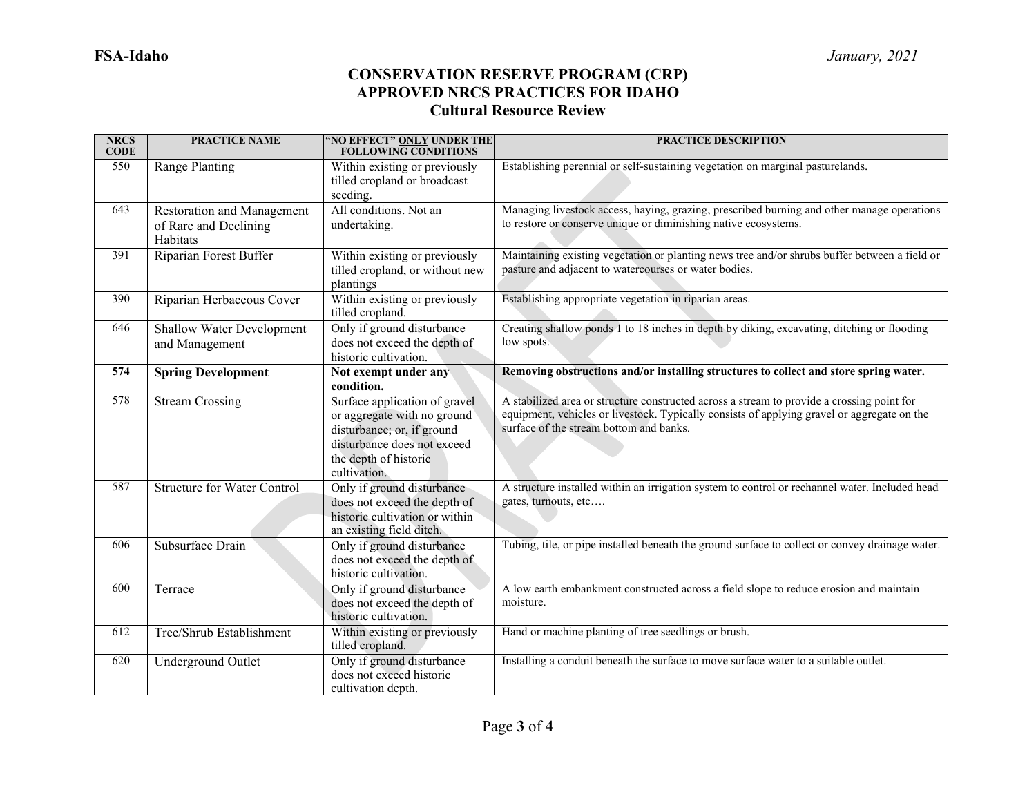| <b>NRCS</b><br><b>CODE</b> | <b>PRACTICE NAME</b>                                                   | "NO EFFECT" ONLY UNDER THE<br><b>FOLLOWING CONDITIONS</b>                                                                                                          | <b>PRACTICE DESCRIPTION</b>                                                                                                                                                                                                          |
|----------------------------|------------------------------------------------------------------------|--------------------------------------------------------------------------------------------------------------------------------------------------------------------|--------------------------------------------------------------------------------------------------------------------------------------------------------------------------------------------------------------------------------------|
| 550                        | Range Planting                                                         | Within existing or previously<br>tilled cropland or broadcast<br>seeding.                                                                                          | Establishing perennial or self-sustaining vegetation on marginal pasturelands.                                                                                                                                                       |
| 643                        | <b>Restoration and Management</b><br>of Rare and Declining<br>Habitats | All conditions. Not an<br>undertaking.                                                                                                                             | Managing livestock access, haying, grazing, prescribed burning and other manage operations<br>to restore or conserve unique or diminishing native ecosystems.                                                                        |
| 391                        | Riparian Forest Buffer                                                 | Within existing or previously<br>tilled cropland, or without new<br>plantings                                                                                      | Maintaining existing vegetation or planting news tree and/or shrubs buffer between a field or<br>pasture and adjacent to watercourses or water bodies.                                                                               |
| 390                        | Riparian Herbaceous Cover                                              | Within existing or previously<br>tilled cropland.                                                                                                                  | Establishing appropriate vegetation in riparian areas.                                                                                                                                                                               |
| 646                        | Shallow Water Development<br>and Management                            | Only if ground disturbance<br>does not exceed the depth of<br>historic cultivation.                                                                                | Creating shallow ponds 1 to 18 inches in depth by diking, excavating, ditching or flooding<br>low spots.                                                                                                                             |
| 574                        | <b>Spring Development</b>                                              | Not exempt under any<br>condition.                                                                                                                                 | Removing obstructions and/or installing structures to collect and store spring water.                                                                                                                                                |
| 578                        | <b>Stream Crossing</b>                                                 | Surface application of gravel<br>or aggregate with no ground<br>disturbance; or, if ground<br>disturbance does not exceed<br>the depth of historic<br>cultivation. | A stabilized area or structure constructed across a stream to provide a crossing point for<br>equipment, vehicles or livestock. Typically consists of applying gravel or aggregate on the<br>surface of the stream bottom and banks. |
| 587                        | <b>Structure for Water Control</b>                                     | Only if ground disturbance<br>does not exceed the depth of<br>historic cultivation or within<br>an existing field ditch.                                           | A structure installed within an irrigation system to control or rechannel water. Included head<br>gates, turnouts, etc                                                                                                               |
| 606                        | Subsurface Drain                                                       | Only if ground disturbance<br>does not exceed the depth of<br>historic cultivation.                                                                                | Tubing, tile, or pipe installed beneath the ground surface to collect or convey drainage water.                                                                                                                                      |
| 600                        | Terrace                                                                | Only if ground disturbance<br>does not exceed the depth of<br>historic cultivation.                                                                                | A low earth embankment constructed across a field slope to reduce erosion and maintain<br>moisture.                                                                                                                                  |
| 612                        | Tree/Shrub Establishment                                               | Within existing or previously<br>tilled cropland.                                                                                                                  | Hand or machine planting of tree seedlings or brush.                                                                                                                                                                                 |
| 620                        | Underground Outlet                                                     | Only if ground disturbance<br>does not exceed historic<br>cultivation depth.                                                                                       | Installing a conduit beneath the surface to move surface water to a suitable outlet.                                                                                                                                                 |